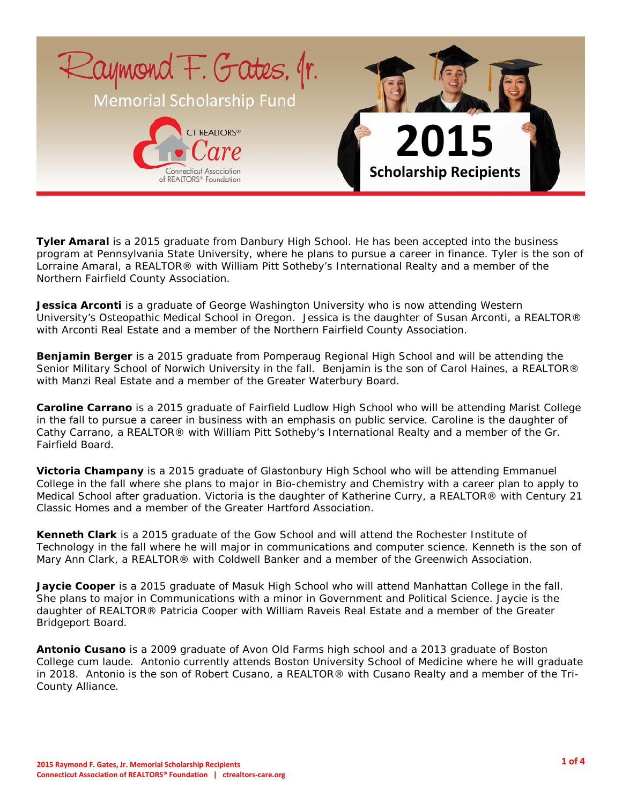

**Tyler Amaral** is a 2015 graduate from Danbury High School. He has been accepted into the business program at Pennsylvania State University, where he plans to pursue a career in finance. Tyler is the son of Lorraine Amaral, a REALTOR® with William Pitt Sotheby's International Realty and a member of the Northern Fairfield County Association.

**Jessica Arconti** is a graduate of George Washington University who is now attending Western University's Osteopathic Medical School in Oregon. Jessica is the daughter of Susan Arconti, a REALTOR® with Arconti Real Estate and a member of the Northern Fairfield County Association.

**Benjamin Berger** is a 2015 graduate from Pomperaug Regional High School and will be attending the Senior Military School of Norwich University in the fall. Benjamin is the son of Carol Haines, a REALTOR® with Manzi Real Estate and a member of the Greater Waterbury Board.

**Caroline Carrano** is a 2015 graduate of Fairfield Ludlow High School who will be attending Marist College in the fall to pursue a career in business with an emphasis on public service. Caroline is the daughter of Cathy Carrano, a REALTOR® with William Pitt Sotheby's International Realty and a member of the Gr. Fairfield Board.

**Victoria Champany** is a 2015 graduate of Glastonbury High School who will be attending Emmanuel College in the fall where she plans to major in Bio-chemistry and Chemistry with a career plan to apply to Medical School after graduation. Victoria is the daughter of Katherine Curry, a REALTOR® with Century 21 Classic Homes and a member of the Greater Hartford Association.

**Kenneth Clark** is a 2015 graduate of the Gow School and will attend the Rochester Institute of Technology in the fall where he will major in communications and computer science. Kenneth is the son of Mary Ann Clark, a REALTOR® with Coldwell Banker and a member of the Greenwich Association.

**Jaycie Cooper** is a 2015 graduate of Masuk High School who will attend Manhattan College in the fall. She plans to major in Communications with a minor in Government and Political Science. Jaycie is the daughter of REALTOR® Patricia Cooper with William Raveis Real Estate and a member of the Greater Bridgeport Board.

**Antonio Cusano** is a 2009 graduate of Avon Old Farms high school and a 2013 graduate of Boston College cum laude. Antonio currently attends Boston University School of Medicine where he will graduate in 2018. Antonio is the son of Robert Cusano, a REALTOR® with Cusano Realty and a member of the Tri-County Alliance.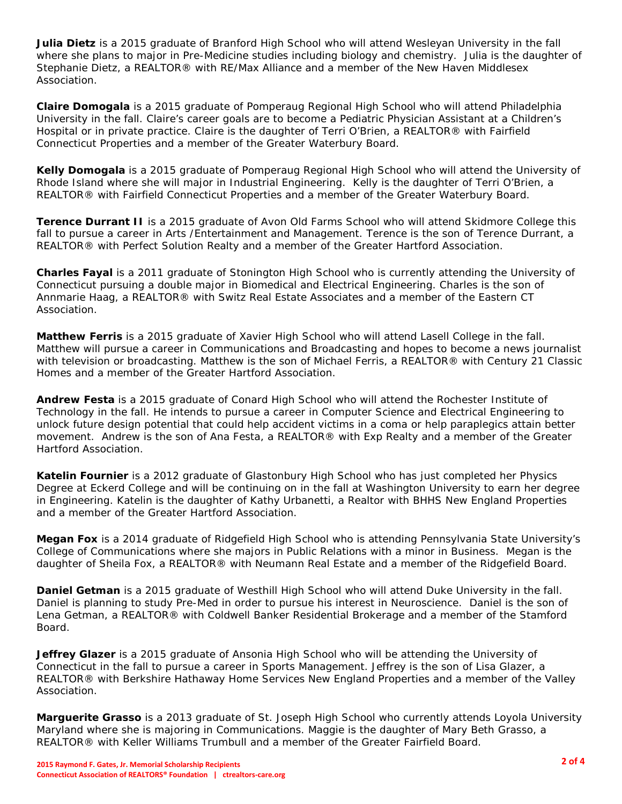**Julia Dietz** is a 2015 graduate of Branford High School who will attend Wesleyan University in the fall where she plans to major in Pre-Medicine studies including biology and chemistry. Julia is the daughter of Stephanie Dietz, a REALTOR® with RE/Max Alliance and a member of the New Haven Middlesex Association.

**Claire Domogala** is a 2015 graduate of Pomperaug Regional High School who will attend Philadelphia University in the fall. Claire's career goals are to become a Pediatric Physician Assistant at a Children's Hospital or in private practice. Claire is the daughter of Terri O'Brien, a REALTOR® with Fairfield Connecticut Properties and a member of the Greater Waterbury Board.

**Kelly Domogala** is a 2015 graduate of Pomperaug Regional High School who will attend the University of Rhode Island where she will major in Industrial Engineering. Kelly is the daughter of Terri O'Brien, a REALTOR® with Fairfield Connecticut Properties and a member of the Greater Waterbury Board.

**Terence Durrant II** is a 2015 graduate of Avon Old Farms School who will attend Skidmore College this fall to pursue a career in Arts /Entertainment and Management. Terence is the son of Terence Durrant, a REALTOR® with Perfect Solution Realty and a member of the Greater Hartford Association.

**Charles Fayal** is a 2011 graduate of Stonington High School who is currently attending the University of Connecticut pursuing a double major in Biomedical and Electrical Engineering. Charles is the son of Annmarie Haag, a REALTOR® with Switz Real Estate Associates and a member of the Eastern CT Association.

**Matthew Ferris** is a 2015 graduate of Xavier High School who will attend Lasell College in the fall. Matthew will pursue a career in Communications and Broadcasting and hopes to become a news journalist with television or broadcasting. Matthew is the son of Michael Ferris, a REALTOR® with Century 21 Classic Homes and a member of the Greater Hartford Association.

**Andrew Festa** is a 2015 graduate of Conard High School who will attend the Rochester Institute of Technology in the fall. He intends to pursue a career in Computer Science and Electrical Engineering to unlock future design potential that could help accident victims in a coma or help paraplegics attain better movement. Andrew is the son of Ana Festa, a REALTOR® with Exp Realty and a member of the Greater Hartford Association.

**Katelin Fournier** is a 2012 graduate of Glastonbury High School who has just completed her Physics Degree at Eckerd College and will be continuing on in the fall at Washington University to earn her degree in Engineering. Katelin is the daughter of Kathy Urbanetti, a Realtor with BHHS New England Properties and a member of the Greater Hartford Association.

**Megan Fox** is a 2014 graduate of Ridgefield High School who is attending Pennsylvania State University's College of Communications where she majors in Public Relations with a minor in Business. Megan is the daughter of Sheila Fox, a REALTOR® with Neumann Real Estate and a member of the Ridgefield Board.

**Daniel Getman** is a 2015 graduate of Westhill High School who will attend Duke University in the fall. Daniel is planning to study Pre-Med in order to pursue his interest in Neuroscience. Daniel is the son of Lena Getman, a REALTOR® with Coldwell Banker Residential Brokerage and a member of the Stamford Board.

**Jeffrey Glazer** is a 2015 graduate of Ansonia High School who will be attending the University of Connecticut in the fall to pursue a career in Sports Management. Jeffrey is the son of Lisa Glazer, a REALTOR® with Berkshire Hathaway Home Services New England Properties and a member of the Valley Association.

**Marguerite Grasso** is a 2013 graduate of St. Joseph High School who currently attends Loyola University Maryland where she is majoring in Communications. Maggie is the daughter of Mary Beth Grasso, a REALTOR® with Keller Williams Trumbull and a member of the Greater Fairfield Board.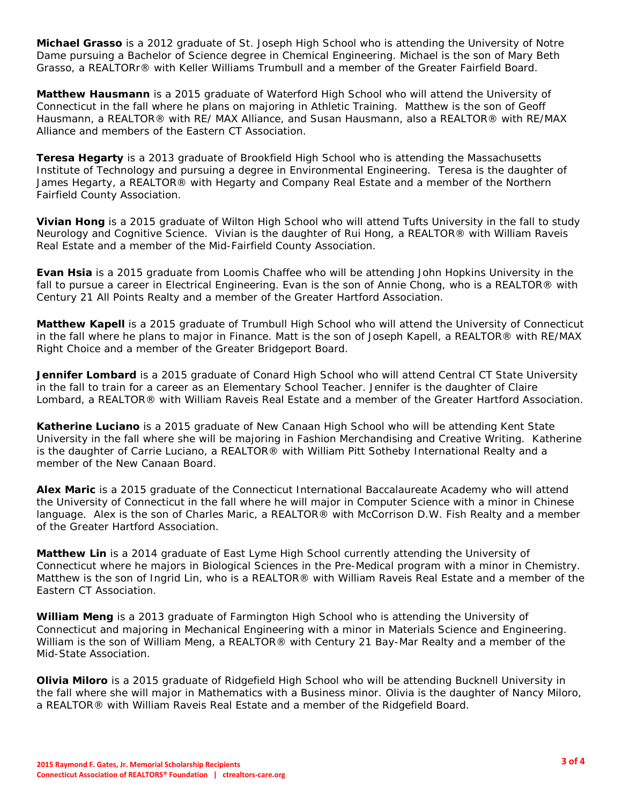**Michael Grasso** is a 2012 graduate of St. Joseph High School who is attending the University of Notre Dame pursuing a Bachelor of Science degree in Chemical Engineering. Michael is the son of Mary Beth Grasso, a REALTORr® with Keller Williams Trumbull and a member of the Greater Fairfield Board.

**Matthew Hausmann** is a 2015 graduate of Waterford High School who will attend the University of Connecticut in the fall where he plans on majoring in Athletic Training. Matthew is the son of Geoff Hausmann, a REALTOR® with RE/ MAX Alliance, and Susan Hausmann, also a REALTOR® with RE/MAX Alliance and members of the Eastern CT Association.

**Teresa Hegarty** is a 2013 graduate of Brookfield High School who is attending the Massachusetts Institute of Technology and pursuing a degree in Environmental Engineering. Teresa is the daughter of James Hegarty, a REALTOR® with Hegarty and Company Real Estate and a member of the Northern Fairfield County Association.

**Vivian Hong** is a 2015 graduate of Wilton High School who will attend Tufts University in the fall to study Neurology and Cognitive Science. Vivian is the daughter of Rui Hong, a REALTOR® with William Raveis Real Estate and a member of the Mid-Fairfield County Association.

**Evan Hsia** is a 2015 graduate from Loomis Chaffee who will be attending John Hopkins University in the fall to pursue a career in Electrical Engineering. Evan is the son of Annie Chong, who is a REALTOR® with Century 21 All Points Realty and a member of the Greater Hartford Association.

**Matthew Kapell** is a 2015 graduate of Trumbull High School who will attend the University of Connecticut in the fall where he plans to major in Finance. Matt is the son of Joseph Kapell, a REALTOR® with RE/MAX Right Choice and a member of the Greater Bridgeport Board.

**Jennifer Lombard** is a 2015 graduate of Conard High School who will attend Central CT State University in the fall to train for a career as an Elementary School Teacher. Jennifer is the daughter of Claire Lombard, a REALTOR® with William Raveis Real Estate and a member of the Greater Hartford Association.

**Katherine Luciano** is a 2015 graduate of New Canaan High School who will be attending Kent State University in the fall where she will be majoring in Fashion Merchandising and Creative Writing. Katherine is the daughter of Carrie Luciano, a REALTOR® with William Pitt Sotheby International Realty and a member of the New Canaan Board.

**Alex Maric** is a 2015 graduate of the Connecticut International Baccalaureate Academy who will attend the University of Connecticut in the fall where he will major in Computer Science with a minor in Chinese language. Alex is the son of Charles Maric, a REALTOR® with McCorrison D.W. Fish Realty and a member of the Greater Hartford Association.

**Matthew Lin** is a 2014 graduate of East Lyme High School currently attending the University of Connecticut where he majors in Biological Sciences in the Pre-Medical program with a minor in Chemistry. Matthew is the son of Ingrid Lin, who is a REALTOR® with William Raveis Real Estate and a member of the Eastern CT Association.

**William Meng** is a 2013 graduate of Farmington High School who is attending the University of Connecticut and majoring in Mechanical Engineering with a minor in Materials Science and Engineering. William is the son of William Meng, a REALTOR® with Century 21 Bay-Mar Realty and a member of the Mid-State Association.

**Olivia Miloro** is a 2015 graduate of Ridgefield High School who will be attending Bucknell University in the fall where she will major in Mathematics with a Business minor. Olivia is the daughter of Nancy Miloro, a REALTOR® with William Raveis Real Estate and a member of the Ridgefield Board.